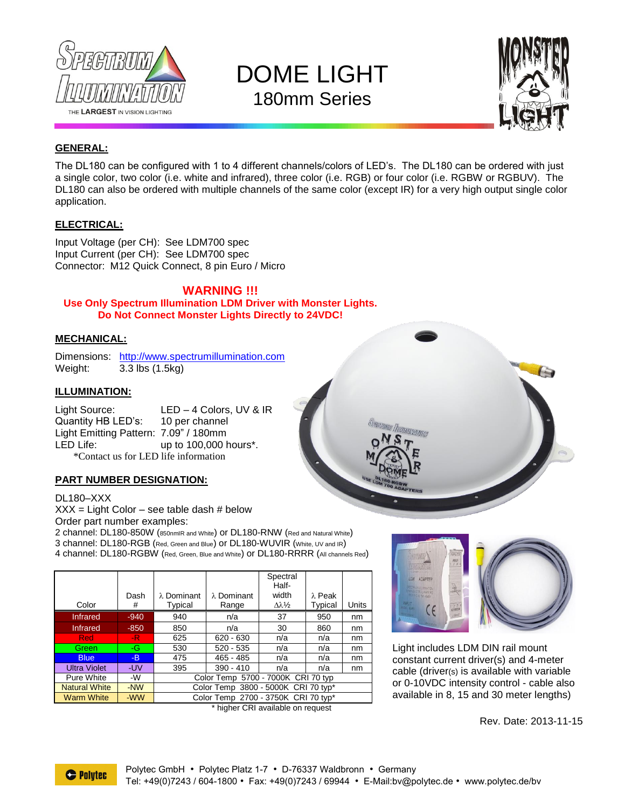

# DOME LIGHT 180mm Series



 $\overline{G}$ 

### **GENERAL:**

The DL180 can be configured with 1 to 4 different channels/colors of LED's. The DL180 can be ordered with just a single color, two color (i.e. white and infrared), three color (i.e. RGB) or four color (i.e. RGBW or RGBUV). The DL180 can also be ordered with multiple channels of the same color (except IR) for a very high output single color application.

### **ELECTRICAL:**

Input Voltage (per CH): See LDM700 spec Input Current (per CH): See LDM700 spec Connector: M12 Quick Connect, 8 pin Euro / Micro

### **WARNING !!! Use Only Spectrum Illumination LDM Driver with Monster Lights. Do Not Connect Monster Lights Directly to 24VDC!**

### **MECHANICAL:**

Dimensions: [http://www.spectrumillumination.com](http://www.spectrumillumination.com/) Weight: 3.3 lbs (1.5kg)

#### **ILLUMINATION:**

Light Source: LED – 4 Colors, UV & IR Quantity HB LED's: 10 per channel Light Emitting Pattern: 7.09" / 180mm LED Life: up to 100,000 hours<sup>\*</sup>. \*Contact us for LED life information

### **PART NUMBER DESIGNATION:**

#### DL180–XXX

 $XXX = Light Color - see table dash # below$ Order part number examples:

2 channel: DL180-850W (850nmIR and White) or DL180-RNW (Red and Natural White) 3 channel: DL180-RGB (Red, Green and Blue) or DL180-WUVIR (White, UV and IR) 4 channel: DL180-RGBW (Red, Green, Blue and White) or DL180-RRRR (All channels Red)

|        |                                     |                    | Spectral<br>Half-                |         |                                                                                 |
|--------|-------------------------------------|--------------------|----------------------------------|---------|---------------------------------------------------------------------------------|
| Dash   |                                     | $\lambda$ Dominant |                                  |         |                                                                                 |
| #      | Typical                             | Range              | $Δλ$ <sup>1</sup> / <sub>2</sub> | Typical | Units                                                                           |
| $-940$ | 940                                 | n/a                | 37                               | 950     | nm                                                                              |
| $-850$ | 850                                 | n/a                | 30                               | 860     | nm                                                                              |
| -R.    | 625                                 | $620 - 630$        | n/a                              | n/a     | nm                                                                              |
| -G     | 530                                 | $520 - 535$        | n/a                              | n/a     | nm                                                                              |
| -B     | 475                                 | $465 - 485$        | n/a                              | n/a     | nm                                                                              |
| -UV    | 395                                 | $390 - 410$        | n/a                              | n/a     | nm                                                                              |
| -W     | Color Temp 5700 - 7000K CRI 70 typ  |                    |                                  |         |                                                                                 |
| -NW    | Color Temp 3800 - 5000K CRI 70 typ* |                    |                                  |         |                                                                                 |
| -WW    | Color Temp 2700 - 3750K CRI 70 typ* |                    |                                  |         |                                                                                 |
|        |                                     | $\lambda$ Dominant |                                  | width   | $\lambda$ Peak<br>$*$ behaviour $\bigcirc$ Direction in the second contract $*$ |





**MINAMON** 

Light includes LDM DIN rail mount constant current driver(s) and 4-meter cable (driver(s) is available with variable or 0-10VDC intensity control - cable also available in 8, 15 and 30 meter lengths)

Rev. Date: 2013-11-15